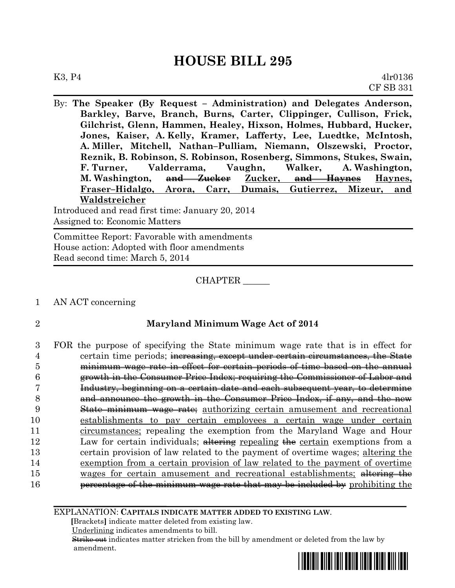By: **The Speaker (By Request – Administration) and Delegates Anderson, Barkley, Barve, Branch, Burns, Carter, Clippinger, Cullison, Frick, Gilchrist, Glenn, Hammen, Healey, Hixson, Holmes, Hubbard, Hucker, Jones, Kaiser, A. Kelly, Kramer, Lafferty, Lee, Luedtke, McIntosh, A. Miller, Mitchell, Nathan–Pulliam, Niemann, Olszewski, Proctor, Reznik, B. Robinson, S. Robinson, Rosenberg, Simmons, Stukes, Swain, F. Turner, Valderrama, Vaughn, Walker, A. Washington, M. Washington, and Zucker Zucker, and Haynes Haynes, Fraser–Hidalgo, Arora, Carr, Dumais, Gutierrez, Mizeur, and Waldstreicher**

Introduced and read first time: January 20, 2014 Assigned to: Economic Matters

Committee Report: Favorable with amendments House action: Adopted with floor amendments Read second time: March 5, 2014

#### CHAPTER \_\_\_\_\_\_

- 1 AN ACT concerning
- 

#### 2 **Maryland Minimum Wage Act of 2014**

 FOR the purpose of specifying the State minimum wage rate that is in effect for **certain time periods**; increasing, except under certain circumstances, the State minimum wage rate in effect for certain periods of time based on the annual growth in the Consumer Price Index; requiring the Commissioner of Labor and Industry, beginning on a certain date and each subsequent year, to determine and announce the growth in the Consumer Price Index, if any, and the new State minimum wage rate; authorizing certain amusement and recreational establishments to pay certain employees a certain wage under certain circumstances; repealing the exemption from the Maryland Wage and Hour 12 Law for certain individuals; alternativeler repealing the certain exemptions from a certain provision of law related to the payment of overtime wages; altering the exemption from a certain provision of law related to the payment of overtime 15 wages for certain amusement and recreational establishments; altering the **percentage of the minimum wage rate that may be included by** prohibiting the

EXPLANATION: **CAPITALS INDICATE MATTER ADDED TO EXISTING LAW**.

 **[**Brackets**]** indicate matter deleted from existing law.

Underlining indicates amendments to bill.

 Strike out indicates matter stricken from the bill by amendment or deleted from the law by amendment.

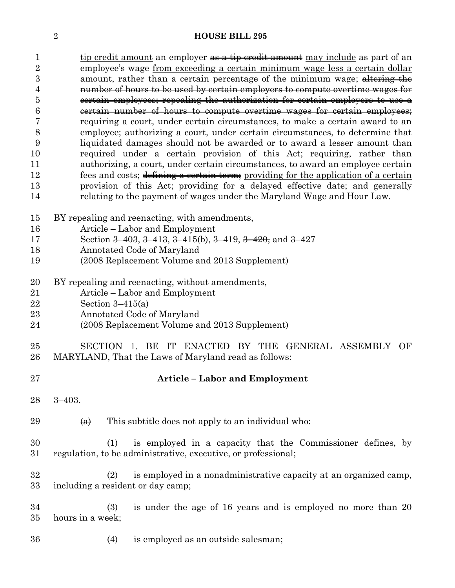| $\mathbf{1}$     | tip credit amount an employer as a tip credit amount may include as part of an                                                      |  |  |  |  |  |  |  |
|------------------|-------------------------------------------------------------------------------------------------------------------------------------|--|--|--|--|--|--|--|
| $\overline{2}$   | employee's wage from exceeding a certain minimum wage less a certain dollar                                                         |  |  |  |  |  |  |  |
| $\boldsymbol{3}$ | amount, rather than a certain percentage of the minimum wage; altering the                                                          |  |  |  |  |  |  |  |
| 4                | number of hours to be used by certain employers to compute overtime wages for                                                       |  |  |  |  |  |  |  |
| $\overline{5}$   | eertain employees; repealing the authorization for certain employers to use a                                                       |  |  |  |  |  |  |  |
| 6                | eertain number of hours to compute overtime wages for certain employees;                                                            |  |  |  |  |  |  |  |
| 7                | requiring a court, under certain circumstances, to make a certain award to an                                                       |  |  |  |  |  |  |  |
| 8                | employee; authorizing a court, under certain circumstances, to determine that                                                       |  |  |  |  |  |  |  |
| 9                | liquidated damages should not be awarded or to award a lesser amount than                                                           |  |  |  |  |  |  |  |
| 10               | required under a certain provision of this Act; requiring, rather than                                                              |  |  |  |  |  |  |  |
| 11               | authorizing, a court, under certain circumstances, to award an employee certain                                                     |  |  |  |  |  |  |  |
| 12               | fees and costs; defining a certain term; providing for the application of a certain                                                 |  |  |  |  |  |  |  |
| 13               | provision of this Act; providing for a delayed effective date; and generally                                                        |  |  |  |  |  |  |  |
| 14               | relating to the payment of wages under the Maryland Wage and Hour Law.                                                              |  |  |  |  |  |  |  |
|                  |                                                                                                                                     |  |  |  |  |  |  |  |
| 15               | BY repealing and reenacting, with amendments,                                                                                       |  |  |  |  |  |  |  |
| 16               | Article – Labor and Employment                                                                                                      |  |  |  |  |  |  |  |
| 17               | Section 3-403, 3-413, 3-415(b), 3-419, $\frac{3-420}{7}$ and 3-427                                                                  |  |  |  |  |  |  |  |
| 18               | Annotated Code of Maryland                                                                                                          |  |  |  |  |  |  |  |
| 19               | (2008 Replacement Volume and 2013 Supplement)                                                                                       |  |  |  |  |  |  |  |
|                  |                                                                                                                                     |  |  |  |  |  |  |  |
| 20               | BY repealing and reenacting, without amendments,                                                                                    |  |  |  |  |  |  |  |
| 21               | Article – Labor and Employment                                                                                                      |  |  |  |  |  |  |  |
| 22               | Section $3-415(a)$                                                                                                                  |  |  |  |  |  |  |  |
| 23               | Annotated Code of Maryland                                                                                                          |  |  |  |  |  |  |  |
| 24               | (2008 Replacement Volume and 2013 Supplement)                                                                                       |  |  |  |  |  |  |  |
| 25               | SECTION 1. BE IT ENACTED BY THE GENERAL ASSEMBLY<br>OF                                                                              |  |  |  |  |  |  |  |
| 26               | MARYLAND, That the Laws of Maryland read as follows:                                                                                |  |  |  |  |  |  |  |
|                  |                                                                                                                                     |  |  |  |  |  |  |  |
| $27\,$           | <b>Article – Labor and Employment</b>                                                                                               |  |  |  |  |  |  |  |
| 28               | $3 - 403$ .                                                                                                                         |  |  |  |  |  |  |  |
|                  |                                                                                                                                     |  |  |  |  |  |  |  |
| 29               | This subtitle does not apply to an individual who:<br>$\left( a\right)$                                                             |  |  |  |  |  |  |  |
|                  |                                                                                                                                     |  |  |  |  |  |  |  |
| 30<br>31         | is employed in a capacity that the Commissioner defines, by<br>(1)<br>regulation, to be administrative, executive, or professional; |  |  |  |  |  |  |  |
|                  |                                                                                                                                     |  |  |  |  |  |  |  |
| 32               | is employed in a nonadministrative capacity at an organized camp,<br>(2)                                                            |  |  |  |  |  |  |  |
| 33               | including a resident or day camp;                                                                                                   |  |  |  |  |  |  |  |
|                  |                                                                                                                                     |  |  |  |  |  |  |  |
| 34               | is under the age of 16 years and is employed no more than 20<br>(3)                                                                 |  |  |  |  |  |  |  |
| $35\,$           | hours in a week;                                                                                                                    |  |  |  |  |  |  |  |
|                  |                                                                                                                                     |  |  |  |  |  |  |  |
| 36               | is employed as an outside salesman;<br>(4)                                                                                          |  |  |  |  |  |  |  |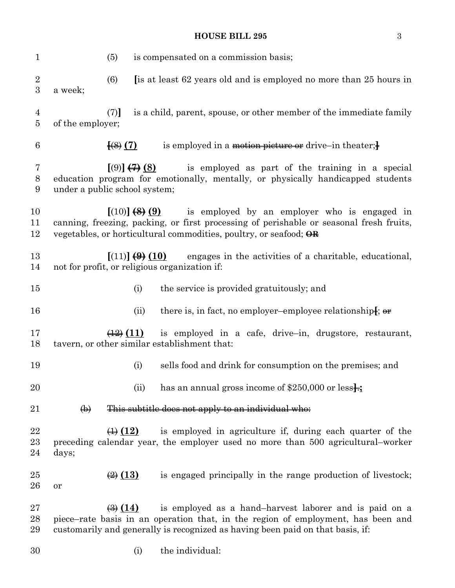| $\mathbf{1}$    |                               | (5)                               |                | is compensated on a commission basis;                                                                                                                                                                                                         |
|-----------------|-------------------------------|-----------------------------------|----------------|-----------------------------------------------------------------------------------------------------------------------------------------------------------------------------------------------------------------------------------------------|
| $\sqrt{2}$<br>3 | a week;                       | (6)                               |                | [is at least 62 years old and is employed no more than 25 hours in                                                                                                                                                                            |
| 4<br>5          | of the employer;              | (7)                               |                | is a child, parent, spouse, or other member of the immediate family                                                                                                                                                                           |
| 6               |                               | $\left[\left(8\right)\right]$ (7) |                | is employed in a motion picture or drive-in theater; $\frac{1}{2}$                                                                                                                                                                            |
| 7<br>$8\,$<br>9 | under a public school system; |                                   | [ (9)] (7) (8) | is employed as part of the training in a special<br>education program for emotionally, mentally, or physically handicapped students                                                                                                           |
| 10<br>11<br>12  |                               |                                   |                | $[(10)]$ $(8)(9)$ is employed by an employer who is engaged in<br>canning, freezing, packing, or first processing of perishable or seasonal fresh fruits,<br>vegetables, or horticultural commodities, poultry, or seafood; $\Theta$ <b>R</b> |
| 13<br>14        |                               |                                   |                | $[(11)] (9) (10)$ engages in the activities of a charitable, educational,<br>not for profit, or religious organization if:                                                                                                                    |
| 15              |                               |                                   | (i)            | the service is provided gratuitously; and                                                                                                                                                                                                     |
| 16              |                               |                                   | (ii)           | there is, in fact, no employer-employee relationship.                                                                                                                                                                                         |
| 17<br>18        |                               | $\left(\frac{12}{2}\right)(11)$   |                | is employed in a cafe, drive-in, drugstore, restaurant,<br>tavern, or other similar establishment that:                                                                                                                                       |
| 19              |                               |                                   | (i)            | sells food and drink for consumption on the premises; and                                                                                                                                                                                     |
| 20              |                               |                                   | (ii)           | has an annual gross income of $$250,000$ or less.                                                                                                                                                                                             |
| 21              | $\bigoplus$                   |                                   |                | This subtitle does not apply to an individual who:                                                                                                                                                                                            |
| 22<br>23<br>24  | days;                         | $\leftrightarrow$ (12)            |                | is employed in agriculture if, during each quarter of the<br>preceding calendar year, the employer used no more than 500 agricultural-worker                                                                                                  |
| 25<br>26        | or                            | $\bigoplus$ (13)                  |                | is engaged principally in the range production of livestock;                                                                                                                                                                                  |
| 27<br>28<br>29  |                               | $\left(\frac{1}{2}\right)$ (14)   |                | is employed as a hand-harvest laborer and is paid on a<br>piece–rate basis in an operation that, in the region of employment, has been and<br>customarily and generally is recognized as having been paid on that basis, if:                  |

(i) the individual: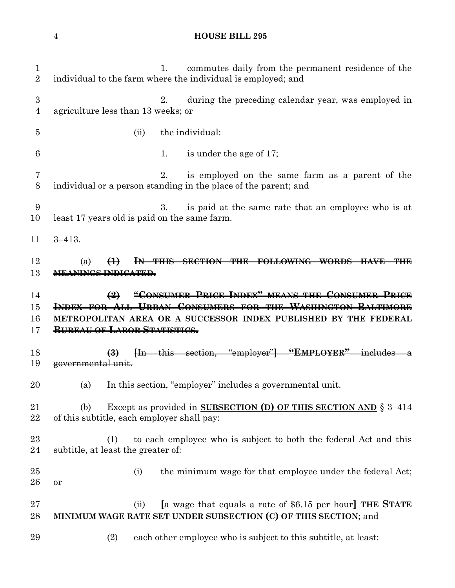| $\mathbf{1}$<br>$\overline{2}$ | commutes daily from the permanent residence of the<br>1.<br>individual to the farm where the individual is employed; and            |
|--------------------------------|-------------------------------------------------------------------------------------------------------------------------------------|
| 3<br>4                         | during the preceding calendar year, was employed in<br>2.<br>agriculture less than 13 weeks; or                                     |
| 5                              | the individual:<br>(ii)                                                                                                             |
| 6                              | is under the age of 17;<br>1.                                                                                                       |
| 7<br>8                         | is employed on the same farm as a parent of the<br>2.<br>individual or a person standing in the place of the parent; and            |
| 9<br>10                        | 3.<br>is paid at the same rate that an employee who is at<br>least 17 years old is paid on the same farm.                           |
| 11                             | $3 - 413.$                                                                                                                          |
| 12<br>13                       | $\bigoplus$<br>IN THIS SECTION THE FOLLOWING WORDS HAVE THE<br>$\leftrightarrow$<br><b>MEANINGS INDICATED.</b>                      |
|                                |                                                                                                                                     |
| 14                             | "CONSUMER PRICE INDEX" MEANS THE CONSUMER PRICE<br>$\left(2\right)$                                                                 |
| 15                             | INDEX FOR ALL URBAN CONSUMERS FOR THE WASHINGTON-BALTIMORE                                                                          |
| 16                             | METROPOLITAN AREA OR A SUCCESSOR INDEX PUBLISHED BY THE FEDERAL                                                                     |
| 17                             | <b>BUREAU OF LABOR STATISTICS.</b>                                                                                                  |
|                                |                                                                                                                                     |
| 18<br>19                       | [In this section, "employer"] "EMPLOYER" includes a<br>$\left(\frac{3}{2}\right)$<br>governmental unit.                             |
| 20                             | In this section, "employer" includes a governmental unit.<br>(a)                                                                    |
|                                |                                                                                                                                     |
| 21<br>22                       | Except as provided in SUBSECTION (D) OF THIS SECTION AND § 3-414<br>(b)<br>of this subtitle, each employer shall pay:               |
| 23                             | (1)                                                                                                                                 |
| 24                             | to each employee who is subject to both the federal Act and this<br>subtitle, at least the greater of:                              |
| 25                             | the minimum wage for that employee under the federal Act;<br>(i)                                                                    |
| 26                             | or                                                                                                                                  |
| 27<br>28                       | [a wage that equals a rate of \$6.15 per hour] THE STATE<br>(ii)<br>MINIMUM WAGE RATE SET UNDER SUBSECTION (C) OF THIS SECTION; and |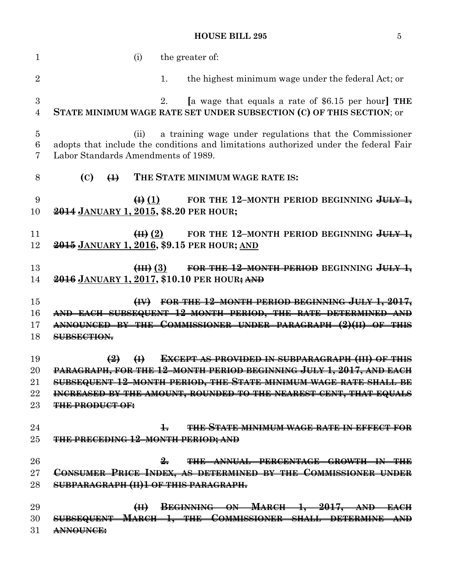| 1                                  | the greater of:<br>(i)                                                                                                                                                                         |
|------------------------------------|------------------------------------------------------------------------------------------------------------------------------------------------------------------------------------------------|
| $\overline{2}$                     | the highest minimum wage under the federal Act; or<br>1.                                                                                                                                       |
| $\boldsymbol{3}$<br>$\overline{4}$ | [a wage that equals a rate of \$6.15 per hour] THE<br>2.<br>STATE MINIMUM WAGE RATE SET UNDER SUBSECTION (C) OF THIS SECTION; or                                                               |
| $\overline{5}$<br>6<br>7           | a training wage under regulations that the Commissioner<br>(ii)<br>adopts that include the conditions and limitations authorized under the federal Fair<br>Labor Standards Amendments of 1989. |
| 8                                  | THE STATE MINIMUM WAGE RATE IS:<br>(C)<br>$\bigoplus$                                                                                                                                          |
| 9<br>10                            | $\bigoplus$ (1)<br>FOR THE 12-MONTH PERIOD BEGINNING $JU + J$<br>2014 JANUARY 1, 2015, \$8.20 PER HOUR;                                                                                        |
| 11<br>12                           | FOR THE 12-MONTH PERIOD BEGINNING JULY 1,<br>$\left( \boxplus \right)$ $(2)$<br>2015 JANUARY 1, 2016, \$9.15 PER HOUR; AND                                                                     |
| 13<br>14                           | FOR THE 12-MONTH PERIOD BEGINNING JULY 1,<br>$\left( \overline{4H}\right)$ $\left( 3\right)$<br>2016 JANUARY 1, 2017, \$10.10 PER HOUR; AND                                                    |
| 15                                 | FOR THE 12-MONTH PERIOD BEGINNING JULY 1, 2017,<br>$\left(\mathbf{H}\right)$                                                                                                                   |
| 16                                 | AND EACH SUBSEQUENT 12-MONTH PERIOD, THE RATE DETERMINED AND                                                                                                                                   |
| 17                                 | ANNOUNCED BY THE COMMISSIONER UNDER PARAGRAPH (2)(II) OF THIS                                                                                                                                  |
| 18                                 | SUBSECTION.                                                                                                                                                                                    |
| 19                                 | <b>EXCEPT AS PROVIDED IN SUBPARAGRAPH (III) OF THIS</b><br>$\left( \frac{9}{2} \right)$<br>$\bigoplus$                                                                                         |
| 20                                 | PARAGRAPH, FOR THE 12-MONTH PERIOD BEGINNING JULY 1, 2017, AND EACH                                                                                                                            |
| 21                                 | SUBSEQUENT 12-MONTH PERIOD, THE STATE MINIMUM WAGE RATE SHALL BE                                                                                                                               |
| 22                                 | INCREASED BY THE AMOUNT, ROUNDED TO THE NEAREST CENT, THAT EQUALS                                                                                                                              |
| 23                                 | <b>THE PRODUCT OF:</b>                                                                                                                                                                         |
|                                    | THE STATE MINIMUM WAGE RATE IN EFFECT FOR                                                                                                                                                      |
| 24<br>25                           | $\pm$<br><b>THE PRECEDING 12-MONTH PERIOD; AND</b>                                                                                                                                             |
|                                    |                                                                                                                                                                                                |
| 26                                 | 2.<br>THE ANNUAL PERCENTAGE GROWTH IN THE                                                                                                                                                      |
| 27                                 | CONSUMER PRICE INDEX, AS DETERMINED BY THE COMMISSIONER UNDER                                                                                                                                  |
| 28                                 | SUBPARAGRAPH (II)1 OF THIS PARAGRAPH.                                                                                                                                                          |
| 29                                 | (II) BEGINNING ON MARCH 1, 2017, AND EACH                                                                                                                                                      |
| 30                                 | SUBSEQUENT MARCH 1, THE COMMISSIONER SHALL DETERMINE AND                                                                                                                                       |
| 31                                 | <b>ANNOUNCE:</b>                                                                                                                                                                               |
|                                    |                                                                                                                                                                                                |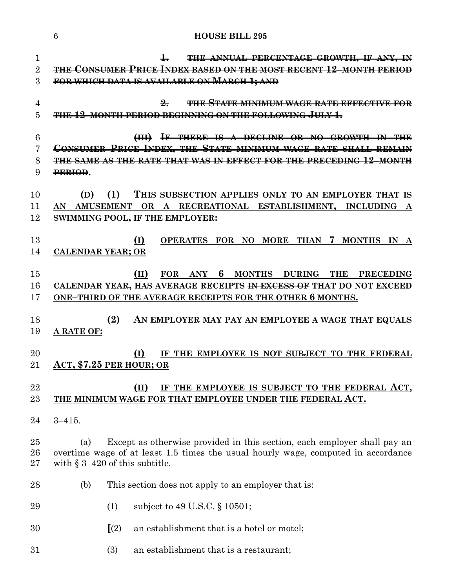|                                | 6<br><b>HOUSE BILL 295</b>                                                                                                                                                                                                         |
|--------------------------------|------------------------------------------------------------------------------------------------------------------------------------------------------------------------------------------------------------------------------------|
| $\mathbf{1}$<br>$\overline{2}$ | $\pm$<br>THE ANNUAL PERCENTAGE GROWTH, IF ANY, IN<br><b>THE CONSUMER PRICE INDEX BASED ON THE MOST RECENT 12-MONTH PERIOD</b>                                                                                                      |
| 3                              | FOR WHICH DATA IS AVAILABLE ON MARCH 1; AND                                                                                                                                                                                        |
| 4<br>5                         | $\frac{9}{2}$<br><b>THE STATE MINIMUM WAGE RATE EFFECTIVE FOR</b><br><b>THE 12 MONTH PERIOD BEGINNING ON THE FOLLOWING JULY 1.</b>                                                                                                 |
| 6<br>7<br>8<br>9               | IF THERE IS A DECLINE OR NO GROWTH IN THE<br>$\left(\frac{1}{2} \right)$<br>CONSUMER PRICE INDEX, THE STATE MINIMUM WAGE RATE SHALL REMAIN<br><u>THE SAME AS THE RATE THAT WAS IN EFFECT FOR THE PRECEDING 12-MONTH</u><br>PERIOD. |
| 10<br>11<br>12                 | (1)<br>THIS SUBSECTION APPLIES ONLY TO AN EMPLOYER THAT IS<br>(D)<br>RECREATIONAL ESTABLISHMENT, INCLUDING<br><b>AMUSEMENT</b><br>OR<br>AN<br>${\bf A}$<br>SWIMMING POOL, IF THE EMPLOYER:                                         |
| 13<br>14                       | (I)<br>OPERATES FOR NO MORE THAN 7 MONTHS IN A<br><b>CALENDAR YEAR; OR</b>                                                                                                                                                         |
| 15<br>16<br>17                 | MONTHS DURING<br>(II)<br>FOR ANY 6<br><b>THE</b><br><b>PRECEDING</b><br>CALENDAR YEAR, HAS AVERAGE RECEIPTS <del>IN EXCESS OF</del> THAT DO NOT EXCEED<br>ONE-THIRD OF THE AVERAGE RECEIPTS FOR THE OTHER 6 MONTHS.                |
| 18<br>19                       | (2)<br>AN EMPLOYER MAY PAY AN EMPLOYEE A WAGE THAT EQUALS<br>A RATE OF:                                                                                                                                                            |
| 20<br>21                       | (I)<br>IF THE EMPLOYEE IS NOT SUBJECT TO THE FEDERAL<br>ACT, \$7.25 PER HOUR; OR                                                                                                                                                   |
| 22<br>23                       | (II)<br>IF THE EMPLOYEE IS SUBJECT TO THE FEDERAL ACT,<br>THE MINIMUM WAGE FOR THAT EMPLOYEE UNDER THE FEDERAL ACT.                                                                                                                |
| 24                             | $3 - 415.$                                                                                                                                                                                                                         |
| 25<br>26<br>27                 | Except as otherwise provided in this section, each employer shall pay an<br>(a)<br>overtime wage of at least 1.5 times the usual hourly wage, computed in accordance<br>with $\S 3-420$ of this subtitle.                          |
| 28                             | (b)<br>This section does not apply to an employer that is:                                                                                                                                                                         |
| 29                             | subject to 49 U.S.C. § 10501;<br>(1)                                                                                                                                                                                               |
| 30                             | (2)<br>an establishment that is a hotel or motel;                                                                                                                                                                                  |
| 31                             | an establishment that is a restaurant;<br>(3)                                                                                                                                                                                      |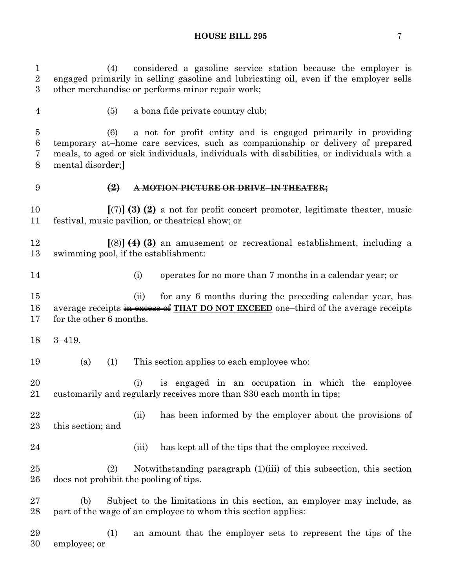(4) considered a gasoline service station because the employer is engaged primarily in selling gasoline and lubricating oil, even if the employer sells other merchandise or performs minor repair work;

 (5) a bona fide private country club; (6) a not for profit entity and is engaged primarily in providing temporary at–home care services, such as companionship or delivery of prepared meals, to aged or sick individuals, individuals with disabilities, or individuals with a mental disorder;**] (2) A MOTION PICTURE OR DRIVE–IN THEATER; [**(7)**] (3) (2)** a not for profit concert promoter, legitimate theater, music festival, music pavilion, or theatrical show; or **[**(8)**] (4) (3)** an amusement or recreational establishment, including a swimming pool, if the establishment: (i) operates for no more than 7 months in a calendar year; or 15 (ii) for any 6 months during the preceding calendar year, has average receipts in excess of **THAT DO NOT EXCEED** one–third of the average receipts for the other 6 months. 3–419. (a) (1) This section applies to each employee who: (i) is engaged in an occupation in which the employee customarily and regularly receives more than \$30 each month in tips; (ii) has been informed by the employer about the provisions of this section; and 24 (iii) has kept all of the tips that the employee received. (2) Notwithstanding paragraph (1)(iii) of this subsection, this section does not prohibit the pooling of tips. (b) Subject to the limitations in this section, an employer may include, as part of the wage of an employee to whom this section applies: (1) an amount that the employer sets to represent the tips of the

employee; or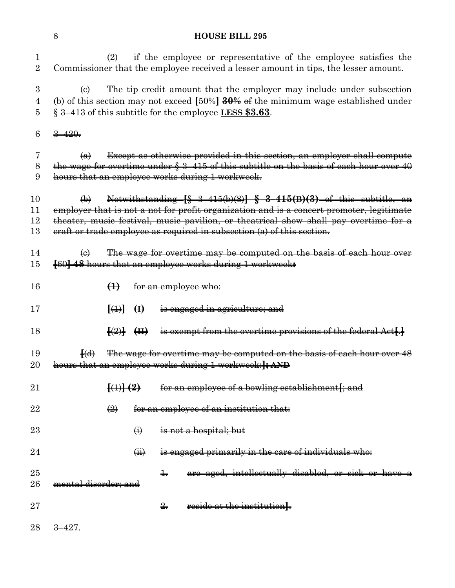| 1<br>$\overline{2}$ |                           | (2)                                                                                                                                                                                                                                                                                                                                                                                  |                   | if the employee or representative of the employee satisfies the<br>Commissioner that the employee received a lesser amount in tips, the lesser amount. |  |
|---------------------|---------------------------|--------------------------------------------------------------------------------------------------------------------------------------------------------------------------------------------------------------------------------------------------------------------------------------------------------------------------------------------------------------------------------------|-------------------|--------------------------------------------------------------------------------------------------------------------------------------------------------|--|
| $\boldsymbol{3}$    | (c)                       |                                                                                                                                                                                                                                                                                                                                                                                      |                   | The tip credit amount that the employer may include under subsection                                                                                   |  |
| $\overline{4}$      |                           |                                                                                                                                                                                                                                                                                                                                                                                      |                   | (b) of this section may not exceed [50%] $\frac{30\%}{90\%}$ of the minimum wage established under                                                     |  |
| 5                   |                           |                                                                                                                                                                                                                                                                                                                                                                                      |                   | $\S 3-413$ of this subtitle for the employee LESS \$3.63.                                                                                              |  |
| $\,6$               | $3 - 420.$                |                                                                                                                                                                                                                                                                                                                                                                                      |                   |                                                                                                                                                        |  |
| 7                   | $\bigoplus$               |                                                                                                                                                                                                                                                                                                                                                                                      |                   | Except as otherwise provided in this section, an employer shall compute                                                                                |  |
| 8                   |                           |                                                                                                                                                                                                                                                                                                                                                                                      |                   | the wage for overtime under $\S 3-415$ of this subtitle on the basis of each hour over 40                                                              |  |
| 9                   |                           |                                                                                                                                                                                                                                                                                                                                                                                      |                   | hours that an employee works during 1 workweek.                                                                                                        |  |
| 10                  | $\leftrightarrow$         |                                                                                                                                                                                                                                                                                                                                                                                      |                   | Notwithstanding $\{§$ 3-415(b)(8)] § 3-415(B)(3) of this subtitle, an                                                                                  |  |
| 11                  |                           |                                                                                                                                                                                                                                                                                                                                                                                      |                   | employer that is not a not for profit organization and is a concert promoter, legitimate                                                               |  |
| 12                  |                           |                                                                                                                                                                                                                                                                                                                                                                                      |                   | theater, music festival, music pavilion, or theatrical show shall pay overtime for a                                                                   |  |
| 13                  |                           |                                                                                                                                                                                                                                                                                                                                                                                      |                   | eraft or trade employee as required in subsection (a) of this section.                                                                                 |  |
| 14                  | $\left(\mathbf{e}\right)$ |                                                                                                                                                                                                                                                                                                                                                                                      |                   | The wage for overtime may be computed on the basis of each hour over                                                                                   |  |
| 15                  |                           |                                                                                                                                                                                                                                                                                                                                                                                      |                   | [60] 48 hours that an employee works during 1 workweek:                                                                                                |  |
| 16                  |                           | $\bigoplus$                                                                                                                                                                                                                                                                                                                                                                          |                   | for an employee who:                                                                                                                                   |  |
| 17                  |                           | $\overline{A}$ $\overline{A}$ $\overline{A}$ $\overline{A}$ $\overline{A}$ $\overline{A}$ $\overline{A}$ $\overline{A}$ $\overline{A}$ $\overline{A}$ $\overline{A}$ $\overline{A}$ $\overline{A}$ $\overline{A}$ $\overline{A}$ $\overline{A}$ $\overline{A}$ $\overline{A}$ $\overline{A}$ $\overline{A}$ $\overline{A}$ $\overline{A}$ $\overline{A}$ $\overline{A}$ $\overline{$ |                   | is engaged in agriculture; and                                                                                                                         |  |
| 18                  |                           | $\overline{H}$ $\overline{H}$                                                                                                                                                                                                                                                                                                                                                        |                   | is exempt from the overtime provisions of the federal Act[.]                                                                                           |  |
| 19                  | $\overline{(\mathbf{d})}$ |                                                                                                                                                                                                                                                                                                                                                                                      |                   | The wage for overtime may be computed on the basis of each hour over 48                                                                                |  |
| 20                  |                           |                                                                                                                                                                                                                                                                                                                                                                                      |                   |                                                                                                                                                        |  |
|                     |                           |                                                                                                                                                                                                                                                                                                                                                                                      |                   | hours that an employee works during 1 workweek:]; AND                                                                                                  |  |
| 21                  |                           | $\{\leftrightarrow\}$ $\{\leftrightarrow\}$                                                                                                                                                                                                                                                                                                                                          |                   | <del>for an employee of a bowling establishment[; and</del>                                                                                            |  |
| 22                  |                           | $\left(\frac{2}{2}\right)$                                                                                                                                                                                                                                                                                                                                                           |                   | for an employee of an institution that:                                                                                                                |  |
| 23                  |                           |                                                                                                                                                                                                                                                                                                                                                                                      | $\leftrightarrow$ | is not a hospital; but                                                                                                                                 |  |
| 24                  |                           |                                                                                                                                                                                                                                                                                                                                                                                      | $\overline{a}$    | is engaged primarily in the care of individuals who:                                                                                                   |  |
| 25                  |                           |                                                                                                                                                                                                                                                                                                                                                                                      |                   | are aged, intellectually disabled, or sick or have a<br>$\pm$                                                                                          |  |
| 26                  | mental disorder; and      |                                                                                                                                                                                                                                                                                                                                                                                      |                   |                                                                                                                                                        |  |
| 27                  |                           |                                                                                                                                                                                                                                                                                                                                                                                      |                   | reside at the institution.<br>$\frac{9}{2}$                                                                                                            |  |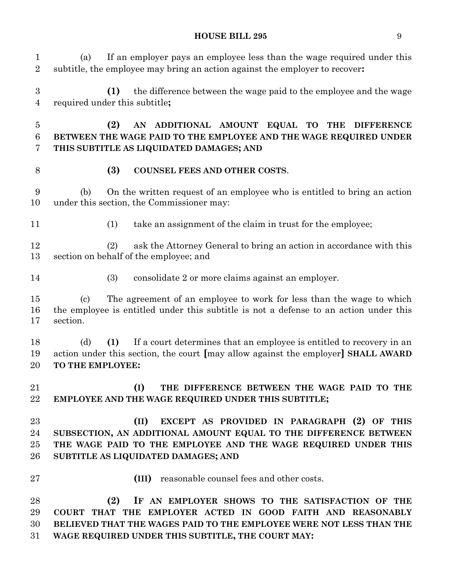(a) If an employer pays an employee less than the wage required under this subtitle, the employee may bring an action against the employer to recover**: (1)** the difference between the wage paid to the employee and the wage required under this subtitle**; (2) AN ADDITIONAL AMOUNT EQUAL TO THE DIFFERENCE BETWEEN THE WAGE PAID TO THE EMPLOYEE AND THE WAGE REQUIRED UNDER THIS SUBTITLE AS LIQUIDATED DAMAGES; AND (3) COUNSEL FEES AND OTHER COSTS**. (b) On the written request of an employee who is entitled to bring an action under this section, the Commissioner may: (1) take an assignment of the claim in trust for the employee; (2) ask the Attorney General to bring an action in accordance with this section on behalf of the employee; and (3) consolidate 2 or more claims against an employer. (c) The agreement of an employee to work for less than the wage to which the employee is entitled under this subtitle is not a defense to an action under this section. (d) **(1)** If a court determines that an employee is entitled to recovery in an action under this section, the court **[**may allow against the employer**] SHALL AWARD TO THE EMPLOYEE: (I) THE DIFFERENCE BETWEEN THE WAGE PAID TO THE EMPLOYEE AND THE WAGE REQUIRED UNDER THIS SUBTITLE; (II) EXCEPT AS PROVIDED IN PARAGRAPH (2) OF THIS SUBSECTION, AN ADDITIONAL AMOUNT EQUAL TO THE DIFFERENCE BETWEEN THE WAGE PAID TO THE EMPLOYEE AND THE WAGE REQUIRED UNDER THIS SUBTITLE AS LIQUIDATED DAMAGES; AND (III)** reasonable counsel fees and other costs. **(2) IF AN EMPLOYER SHOWS TO THE SATISFACTION OF THE COURT THAT THE EMPLOYER ACTED IN GOOD FAITH AND REASONABLY BELIEVED THAT THE WAGES PAID TO THE EMPLOYEE WERE NOT LESS THAN THE** 

**WAGE REQUIRED UNDER THIS SUBTITLE, THE COURT MAY:**